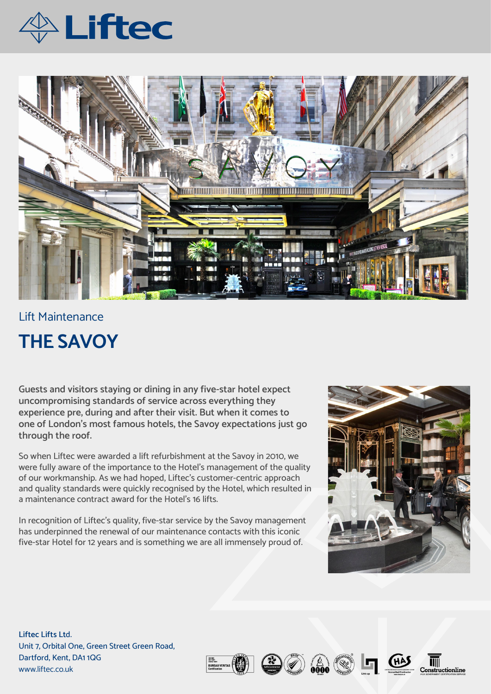



## Lift Maintenance **THE SAVOY**

**Guests and visitors staying or dining in any five-star hotel expect uncompromising standards of service across everything they experience pre, during and after their visit. But when it comes to one of London's most famous hotels, the Savoy expectations just go through the roof.** 

So when Liftec were awarded a lift refurbishment at the Savoy in 2010, we were fully aware of the importance to the Hotel's management of the quality of our workmanship. As we had hoped, Liftec's customer-centric approach and quality standards were quickly recognised by the Hotel, which resulted in a maintenance contract award for the Hotel's 16 lifts.

In recognition of Liftec's quality, five-star service by the Savoy management has underpinned the renewal of our maintenance contacts with this iconic five-star Hotel for 12 years and is something we are all immensely proud of.



**Liftec Lifts Lt**d. Unit 7, Orbital One, Green Street Green Road, Dartford, Kent, DA1 1QG www.liftec.co.uk